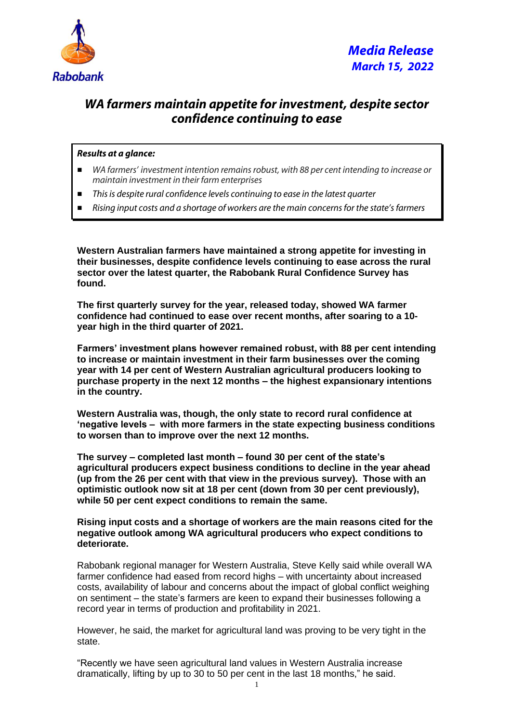

## *WA farmers maintain appetite for investment, despite sector confidence continuing to ease*

## *Results at a glance:*

- *WA farmers' investment intention remains robust, with 88 per cent intending to increase or maintain investment in their farm enterprises*
- *This is despite rural confidence levels continuing to ease in the latest quarter*
- *Rising input costs and a shortage of workers are the main concerns for the state's farmers*

**Western Australian farmers have maintained a strong appetite for investing in their businesses, despite confidence levels continuing to ease across the rural sector over the latest quarter, the Rabobank Rural Confidence Survey has found.** 

**The first quarterly survey for the year, released today, showed WA farmer confidence had continued to ease over recent months, after soaring to a 10 year high in the third quarter of 2021.**

**Farmers' investment plans however remained robust, with 88 per cent intending to increase or maintain investment in their farm businesses over the coming year with 14 per cent of Western Australian agricultural producers looking to purchase property in the next 12 months – the highest expansionary intentions in the country.**

**Western Australia was, though, the only state to record rural confidence at 'negative levels – with more farmers in the state expecting business conditions to worsen than to improve over the next 12 months.**

**The survey – completed last month – found 30 per cent of the state's agricultural producers expect business conditions to decline in the year ahead (up from the 26 per cent with that view in the previous survey). Those with an optimistic outlook now sit at 18 per cent (down from 30 per cent previously), while 50 per cent expect conditions to remain the same.** 

**Rising input costs and a shortage of workers are the main reasons cited for the negative outlook among WA agricultural producers who expect conditions to deteriorate.** 

Rabobank regional manager for Western Australia, Steve Kelly said while overall WA farmer confidence had eased from record highs – with uncertainty about increased costs, availability of labour and concerns about the impact of global conflict weighing on sentiment – the state's farmers are keen to expand their businesses following a record year in terms of production and profitability in 2021.

However, he said, the market for agricultural land was proving to be very tight in the state.

"Recently we have seen agricultural land values in Western Australia increase dramatically, lifting by up to 30 to 50 per cent in the last 18 months," he said.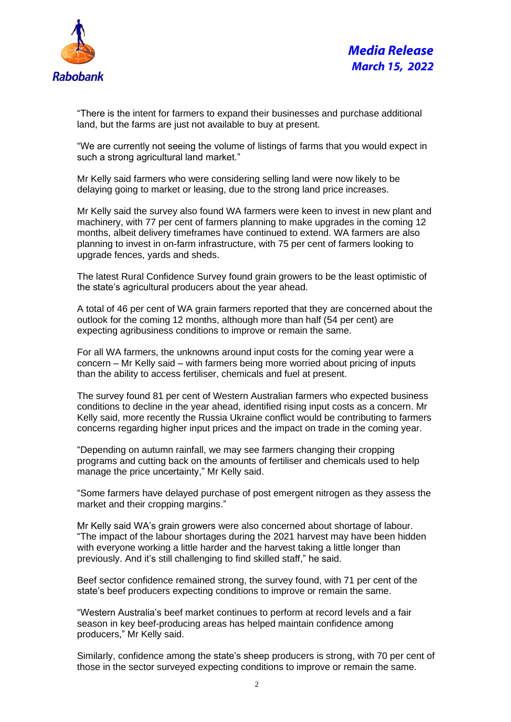

"There is the intent for farmers to expand their businesses and purchase additional land, but the farms are just not available to buy at present.

"We are currently not seeing the volume of listings of farms that you would expect in such a strong agricultural land market."

Mr Kelly said farmers who were considering selling land were now likely to be delaying going to market or leasing, due to the strong land price increases.

Mr Kelly said the survey also found WA farmers were keen to invest in new plant and machinery, with 77 per cent of farmers planning to make upgrades in the coming 12 months, albeit delivery timeframes have continued to extend. WA farmers are also planning to invest in on-farm infrastructure, with 75 per cent of farmers looking to upgrade fences, yards and sheds.

The latest Rural Confidence Survey found grain growers to be the least optimistic of the state's agricultural producers about the year ahead.

A total of 46 per cent of WA grain farmers reported that they are concerned about the outlook for the coming 12 months, although more than half (54 per cent) are expecting agribusiness conditions to improve or remain the same.

For all WA farmers, the unknowns around input costs for the coming year were a concern – Mr Kelly said – with farmers being more worried about pricing of inputs than the ability to access fertiliser, chemicals and fuel at present.

The survey found 81 per cent of Western Australian farmers who expected business conditions to decline in the year ahead, identified rising input costs as a concern. Mr Kelly said, more recently the Russia Ukraine conflict would be contributing to farmers concerns regarding higher input prices and the impact on trade in the coming year.

"Depending on autumn rainfall, we may see farmers changing their cropping programs and cutting back on the amounts of fertiliser and chemicals used to help manage the price uncertainty," Mr Kelly said.

"Some farmers have delayed purchase of post emergent nitrogen as they assess the market and their cropping margins."

Mr Kelly said WA's grain growers were also concerned about shortage of labour. "The impact of the labour shortages during the 2021 harvest may have been hidden with everyone working a little harder and the harvest taking a little longer than previously. And it's still challenging to find skilled staff," he said.

Beef sector confidence remained strong, the survey found, with 71 per cent of the state's beef producers expecting conditions to improve or remain the same.

"Western Australia's beef market continues to perform at record levels and a fair season in key beef-producing areas has helped maintain confidence among producers," Mr Kelly said.

Similarly, confidence among the state's sheep producers is strong, with 70 per cent of those in the sector surveyed expecting conditions to improve or remain the same.